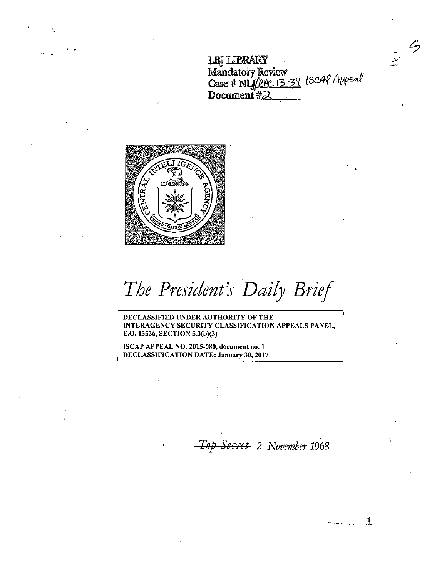**LBI LIBRARY** Mandatory Review<br>
and a complete in the complete and a consequent of the complete of the complete of the complete of the complete <br>
<u>A consequent of the complete of the complete of the complete of the complete of the compl</u> Case # NL<u>ISEAC 13-34</u> (SCAP Appeal) Document  $\sharp_{\sigma}$ 

 $\zeta$ 

 $\mathbb{R}$ 



The President's Daily Brief

DECLASSIFIED UNDER AUTHORITY OF THE INTERAGENCY SECURITY CLASSIFICATION APPEALS PANEL, E.O. 13526, SECTION 5.3(b)(3)

ISCAP APPEAL NO. 2015-080, document no. 1 DECLASSIFICATION DATE: January 30, 2017

*T8p ScGrct 2 November 1968* 

 $\mathcal{I}$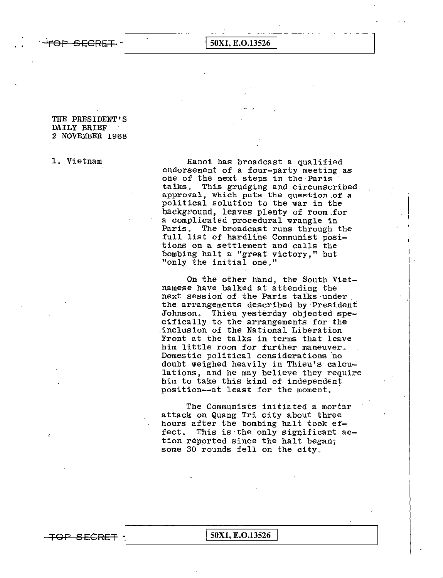TOP SECRET - <u>SOX1, E.O.13526</u>

## THE PRESIDENT'S DAILY BRIEF. 2 NOVEMBER 1968

1. Vietnam Hanoi has broadcast a qualified endorsement of a four-party meeting as one of the next steps in the Paris<br>talks. This grudging and circumsci This grudging and circumscribed approval, which puts the question of a political solution to the war in the background, leaves plenty of room.for a complicated procedural wrangle in<br>Paris. The broadcast runs through i The broadcast runs through the full list of hardline Communist positions on a settlement and calls the bombing halt a "great victory," but "only the initial one."

> On the other hand, the South Vietnamese have balked at attending the next session of the Paris ta1ks·under. the arrangements described by·President Johnson. Thieu yesterday objected specifically to the arrangements for the .inclusion of the National Liberation Front at the talks in terms that leave him little room for further maneuver. Domestic political considerations no doubt weighed heavily in Thieu's calculations, and he may believe they require him to take this kind of independent position--at least for the moment.

The Communists initiated a mortar attack on Quang Tri city about three hours after the bombing halt took effect. This is the only significant action reported since the halt began; some 30 rounds fell on the city.

TOP SECRET - 50X1, E.O.13526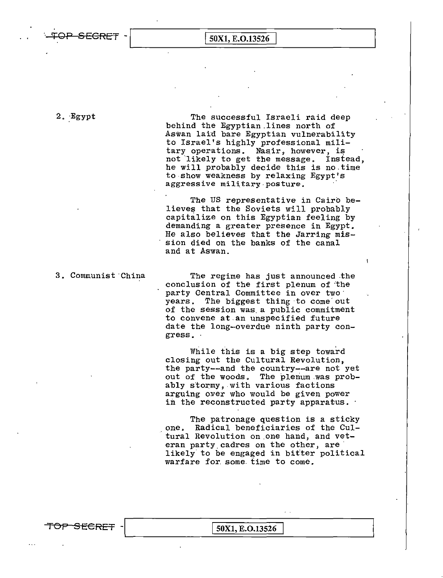TOP SEGRET - <u>[50X1, E.O.13526]</u>

2. Egypt The successful Israeli raid deep behind the Egyptian.lines north of Aswan laid bare Egyptian vulnerability to Israel's highly professional military operations. Nasir, however, is not likely to get the message. Instead, he will probably decide this is no.time to.show weakness by relaxing Egypt's aggressive military posture.

> The US representative in Cairo believes that the Soviets will probably capitalize on this Egyptian feeling by demanding a greater presence in Egypt, He also believes that the Jarring mission died on the banks of the canal and at Aswan.

3. Communist·China The regime has just announced .the conclusion of the first plenum of 'the party Central Committee in over two years. The biggest thing ·to come' out of the session was. a public commitment to convene at.an unspecified future date the long-overdue ninth party con gress •.

> While this is a big step toward closing out the Cultural Revolution, the party--and the country--are not yet out of the woods, The plenum was probably stormy, with various factions arguing over who would be given power in the reconstructed party apparatus.

The patronage question is a sticky<br>one, Radical beneficiaries of the Cultural Revolution on.one hand, and veteran party cadres on the other, are likely' to be engaged in bitter political warfare for some. time to come.

TOP SECRET - 50X1, E.O.13526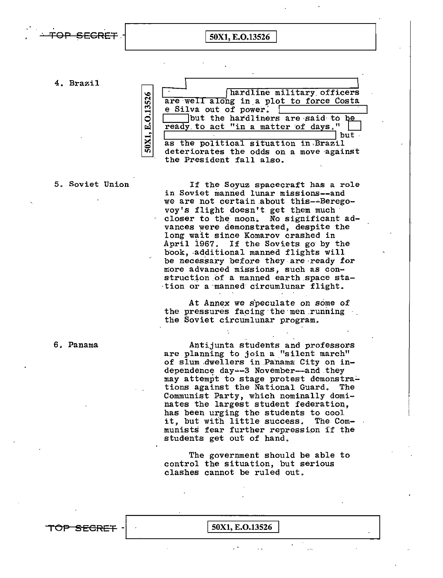

4. Brazil



5. Soviet Union If the Soyuz spacecraft has a role in Soviet manned lunar missions--and we are not certain about this--Berego-<br>voy's flight doesn't get them much closer to the moon. No significant advances were demonstrated, despite the long wait since Komarov crashed in April i967. If the Soviets go by the book, additional manned flights will be necessary before they.are·ready for more advanced missions, such as construction of a manned earth space sta-·tion or a·manned circumlunar flight.

> At Annex we speculate on some of the pressures facing the men running the Soviet circumlunar program.

6, Panama Antijunta students and professors are planning to join a "silent march" of slum dwellers in Panama City on independence day -- 3 November--and they may attempt to stage protest demonstrations against the National Guard. The Communist Party, which nominally domi~ nates the largest student federation, has been urging the students to cool<br>it, but with little success. The Comit, but with little success. munists fear further repression if the students get out of hand,

> The government should be able to control the situation, but serious clashes cannot be ruled out.

TOP SEGRET -  $\boxed{50X1, E.0.13526}$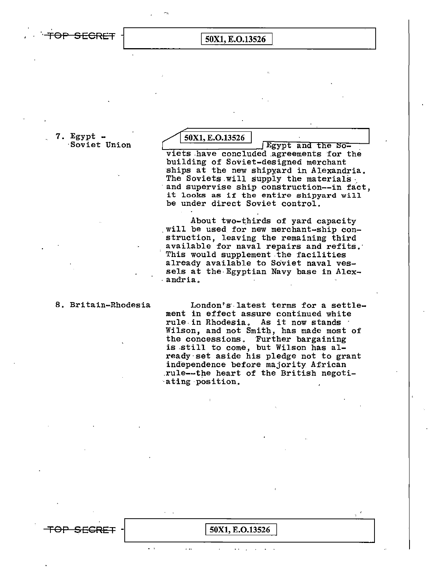OP SECRET

## 50X1, E.O.13526

7. Egypt  $-$ Soviet Union

50X1, E.O.13526

Egypt and the Soviets have concluded agreements for the building of Soviet-designed merchant ships at the new shipyard in Alexandria. The Soviets will supply the materials and supervise ship construction--in fact. it looks as if the entire shipyard will be under direct Soviet control.

About two-thirds of yard capacity will be used for new merchant-ship construction, leaving the remaining third available for naval repairs and refits. This would supplement the facilities already available to Soviet naval vessels at the Egyptian Navy base in Alexandria.

8. Britain-Rhodesia

London's latest terms for a settlement in effect assure continued white rule in Rhodesia. As it now stands Wilson, and not Smith, has made most of the concessions. Further bargaining<br>is still to come, but Wilson has already set aside his pledge not to grant independence before majority African rule--the heart of the British negotiating position.

## 50X1, E.O.13526

 $\ddot{\phantom{a}}$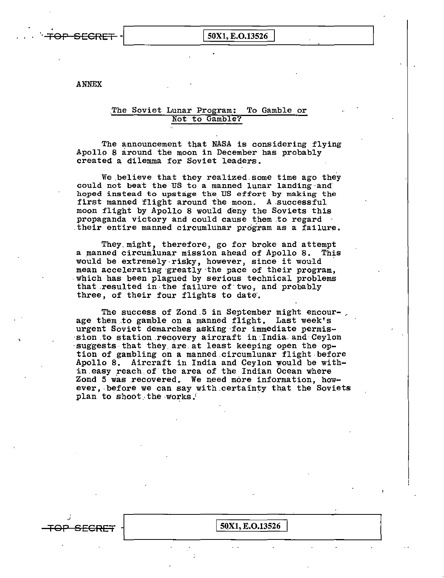

50X1, E.O.13526

**ANNEX** 

## The Soviet Lunar Program: To Gamble or Not to Gamble?

The announcement that NASA is considering flying Apollo 8 around the moon in December has probably created a dilemma for Soviet leaders.

We believe that they realized some time ago they could not beat the US to a manned lunar landing and hoped instead to upstage the US effort by making the first manned flight around the moon. A successful moon flight by Apollo 8 would deny the Soviets this propaganda victory and could cause them to regard their entire manned circumlunar program as a failure.

They might, therefore, go for broke and attempt a manned circumlunar mission ahead of Apollo 8. This would be extremely risky, however, since it would mean accelerating greatly the pace of their program, which has been plagued by serious technical problems that resulted in the failure of two, and probably three, of their four flights to date.

The success of Zond 5 in September might encourage them to gamble on a manned flight. Last week's urgent Soviet demarches asking for immediate permission to station recovery aircraft in India and Ceylon suggests that they are at least keeping open the option of gambling on a manned circumlunar flight before Apollo 8. Aircraft in India and Ceylon would be within easy reach of the area of the Indian Ocean where Zond 5 was recovered. We need more information, however, before we can say with certainty that the Soviets plan to shoot the works.

50X1, E.O.13526